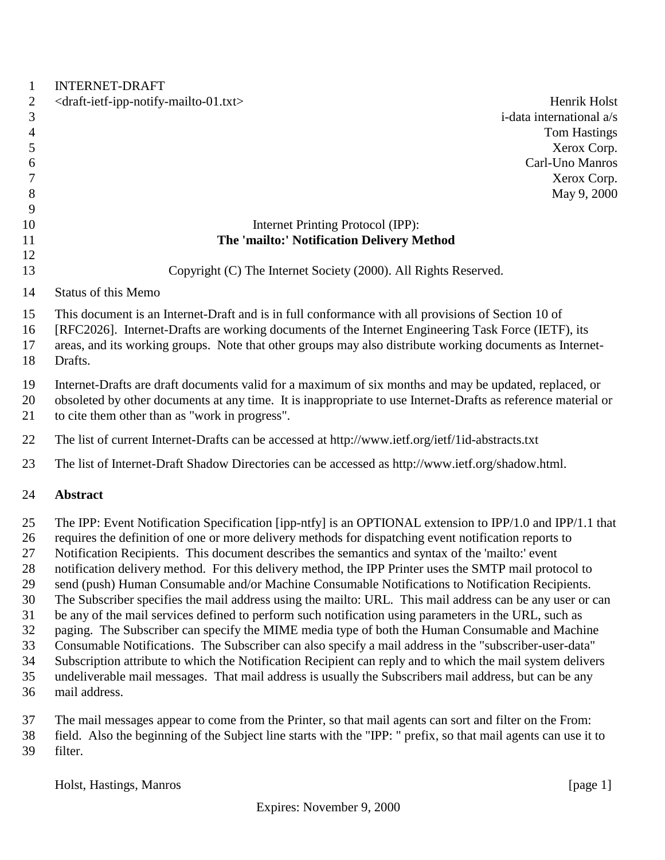| $\mathbf{1}$   | <b>INTERNET-DRAFT</b>                                                                                         |
|----------------|---------------------------------------------------------------------------------------------------------------|
| $\overline{2}$ | <draft-ietf-ipp-notify-mailto-01.txt><br/>Henrik Holst</draft-ietf-ipp-notify-mailto-01.txt>                  |
| 3              | i-data international a/s                                                                                      |
| $\overline{4}$ | <b>Tom Hastings</b>                                                                                           |
| 5              | Xerox Corp.                                                                                                   |
| 6              | Carl-Uno Manros                                                                                               |
| 7              | Xerox Corp.                                                                                                   |
| 8              | May 9, 2000                                                                                                   |
| 9              |                                                                                                               |
| 10<br>11       | Internet Printing Protocol (IPP):<br>The 'mailto:' Notification Delivery Method                               |
| 12             |                                                                                                               |
| 13             | Copyright (C) The Internet Society (2000). All Rights Reserved.                                               |
| 14             | <b>Status of this Memo</b>                                                                                    |
| 15             | This document is an Internet-Draft and is in full conformance with all provisions of Section 10 of            |
| 16             | [RFC2026]. Internet-Drafts are working documents of the Internet Engineering Task Force (IETF), its           |
| 17             | areas, and its working groups. Note that other groups may also distribute working documents as Internet-      |
| 18             | Drafts.                                                                                                       |
| 19             | Internet-Drafts are draft documents valid for a maximum of six months and may be updated, replaced, or        |
| 20             | obsoleted by other documents at any time. It is inappropriate to use Internet-Drafts as reference material or |
| 21             | to cite them other than as "work in progress".                                                                |
| 22             | The list of current Internet-Drafts can be accessed at http://www.ietf.org/ietf/1id-abstracts.txt             |
| 23             | The list of Internet-Draft Shadow Directories can be accessed as http://www.ietf.org/shadow.html.             |
| 24             | <b>Abstract</b>                                                                                               |
| 25             | The IPP: Event Notification Specification [ipp-ntfy] is an OPTIONAL extension to IPP/1.0 and IPP/1.1 that     |
| 26             | requires the definition of one or more delivery methods for dispatching event notification reports to         |
| 27             | Notification Recipients. This document describes the semantics and syntax of the 'mailto:' event              |
| 28             | notification delivery method. For this delivery method, the IPP Printer uses the SMTP mail protocol to        |
| 29             | send (push) Human Consumable and/or Machine Consumable Notifications to Notification Recipients.              |
| 30             | The Subscriber specifies the mail address using the mailto: URL. This mail address can be any user or can     |
| 31             | be any of the mail services defined to perform such notification using parameters in the URL, such as         |
| 32             | paging. The Subscriber can specify the MIME media type of both the Human Consumable and Machine               |
| 33             | Consumable Notifications. The Subscriber can also specify a mail address in the "subscriber-user-data"        |
| 34             | Subscription attribute to which the Notification Recipient can reply and to which the mail system delivers    |
| 35             | undeliverable mail messages. That mail address is usually the Subscribers mail address, but can be any        |
| 36             | mail address.                                                                                                 |
|                |                                                                                                               |

 The mail messages appear to come from the Printer, so that mail agents can sort and filter on the From: field. Also the beginning of the Subject line starts with the "IPP: " prefix, so that mail agents can use it to filter.

Holst, Hastings, Manros [page 1]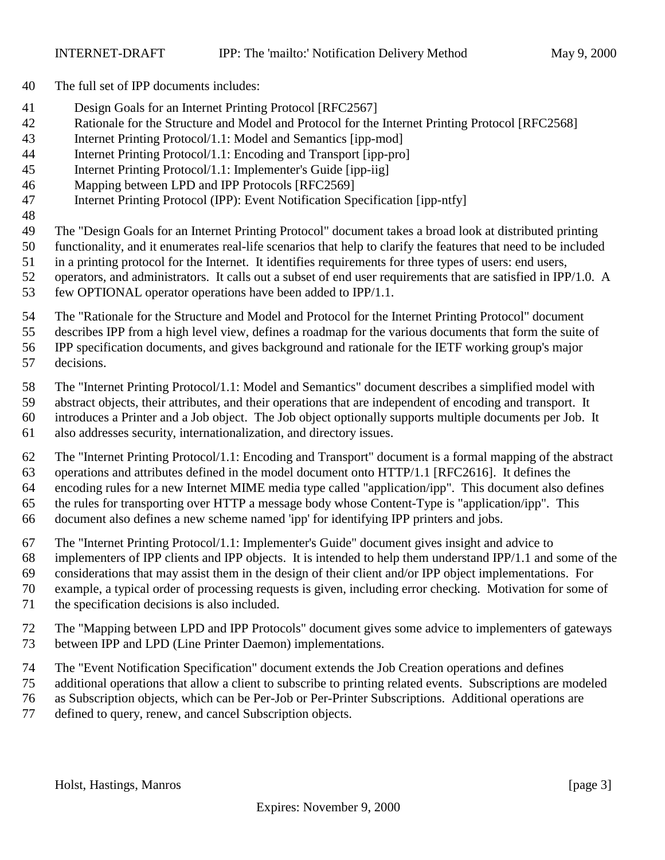- The full set of IPP documents includes:
- Design Goals for an Internet Printing Protocol [RFC2567]
- Rationale for the Structure and Model and Protocol for the Internet Printing Protocol [RFC2568]
- Internet Printing Protocol/1.1: Model and Semantics [ipp-mod]
- Internet Printing Protocol/1.1: Encoding and Transport [ipp-pro]
- Internet Printing Protocol/1.1: Implementer's Guide [ipp-iig]
- Mapping between LPD and IPP Protocols [RFC2569]
- Internet Printing Protocol (IPP): Event Notification Specification [ipp-ntfy]
- 
- The "Design Goals for an Internet Printing Protocol" document takes a broad look at distributed printing
- functionality, and it enumerates real-life scenarios that help to clarify the features that need to be included
- in a printing protocol for the Internet. It identifies requirements for three types of users: end users,
- operators, and administrators. It calls out a subset of end user requirements that are satisfied in IPP/1.0. A few OPTIONAL operator operations have been added to IPP/1.1.
- The "Rationale for the Structure and Model and Protocol for the Internet Printing Protocol" document
- describes IPP from a high level view, defines a roadmap for the various documents that form the suite of
- IPP specification documents, and gives background and rationale for the IETF working group's major
- decisions.
- The "Internet Printing Protocol/1.1: Model and Semantics" document describes a simplified model with
- abstract objects, their attributes, and their operations that are independent of encoding and transport. It
- introduces a Printer and a Job object. The Job object optionally supports multiple documents per Job. It
- also addresses security, internationalization, and directory issues.
- The "Internet Printing Protocol/1.1: Encoding and Transport" document is a formal mapping of the abstract operations and attributes defined in the model document onto HTTP/1.1 [RFC2616]. It defines the encoding rules for a new Internet MIME media type called "application/ipp". This document also defines the rules for transporting over HTTP a message body whose Content-Type is "application/ipp". This document also defines a new scheme named 'ipp' for identifying IPP printers and jobs.
- The "Internet Printing Protocol/1.1: Implementer's Guide" document gives insight and advice to
- implementers of IPP clients and IPP objects. It is intended to help them understand IPP/1.1 and some of the
- considerations that may assist them in the design of their client and/or IPP object implementations. For
- example, a typical order of processing requests is given, including error checking. Motivation for some of
- the specification decisions is also included.
- The "Mapping between LPD and IPP Protocols" document gives some advice to implementers of gateways between IPP and LPD (Line Printer Daemon) implementations.
- The "Event Notification Specification" document extends the Job Creation operations and defines
- additional operations that allow a client to subscribe to printing related events. Subscriptions are modeled
- as Subscription objects, which can be Per-Job or Per-Printer Subscriptions. Additional operations are
- defined to query, renew, and cancel Subscription objects.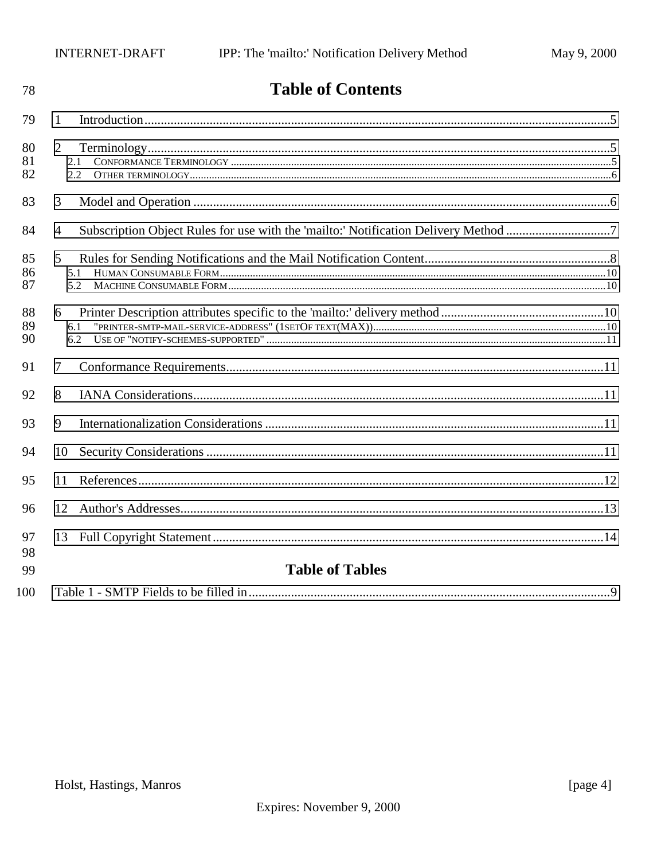| 78             | <b>Table of Contents</b>     |  |
|----------------|------------------------------|--|
| 79             | $\mathbf{1}$                 |  |
| 80<br>81<br>82 | $\overline{2}$<br>2.1<br>2.2 |  |
| 83             | 3                            |  |
| 84             | $\overline{4}$               |  |
| 85<br>86<br>87 | 5<br>5.1<br>5.2              |  |
| 88<br>89<br>90 | 6<br>6.1<br>6.2              |  |
| 91             | 7                            |  |
| 92             | 8                            |  |
| 93             | 9                            |  |
| 94             | 10                           |  |
| 95             | 11                           |  |
| 96             | 12                           |  |
| 97<br>98       | 13                           |  |
| 99             | <b>Table of Tables</b>       |  |
| 100            |                              |  |

# $\mathbf{r}$  ii  $\mathbf{r}$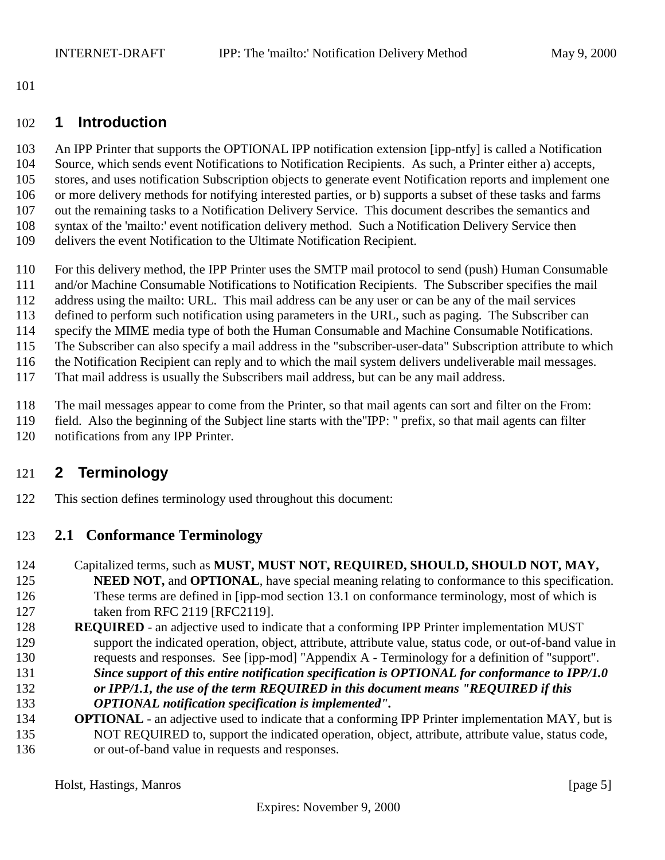<span id="page-4-0"></span>

#### **1 Introduction**

 An IPP Printer that supports the OPTIONAL IPP notification extension [ipp-ntfy] is called a Notification Source, which sends event Notifications to Notification Recipients. As such, a Printer either a) accepts, stores, and uses notification Subscription objects to generate event Notification reports and implement one or more delivery methods for notifying interested parties, or b) supports a subset of these tasks and farms out the remaining tasks to a Notification Delivery Service. This document describes the semantics and syntax of the 'mailto:' event notification delivery method. Such a Notification Delivery Service then delivers the event Notification to the Ultimate Notification Recipient.

 For this delivery method, the IPP Printer uses the SMTP mail protocol to send (push) Human Consumable and/or Machine Consumable Notifications to Notification Recipients. The Subscriber specifies the mail address using the mailto: URL. This mail address can be any user or can be any of the mail services defined to perform such notification using parameters in the URL, such as paging. The Subscriber can specify the MIME media type of both the Human Consumable and Machine Consumable Notifications. The Subscriber can also specify a mail address in the "subscriber-user-data" Subscription attribute to which the Notification Recipient can reply and to which the mail system delivers undeliverable mail messages.

That mail address is usually the Subscribers mail address, but can be any mail address.

The mail messages appear to come from the Printer, so that mail agents can sort and filter on the From:

 field. Also the beginning of the Subject line starts with the"IPP: " prefix, so that mail agents can filter notifications from any IPP Printer.

### **2 Terminology**

This section defines terminology used throughout this document:

#### **2.1 Conformance Terminology**

- Capitalized terms, such as **MUST, MUST NOT, REQUIRED, SHOULD, SHOULD NOT, MAY, NEED NOT, and OPTIONAL**, have special meaning relating to conformance to this specification. These terms are defined in [ipp-mod section 13.1 on conformance terminology, most of which is 127 taken from RFC 2119 [RFC2119].
- **REQUIRED**  an adjective used to indicate that a conforming IPP Printer implementation MUST support the indicated operation, object, attribute, attribute value, status code, or out-of-band value in requests and responses. See [ipp-mod] "Appendix A - Terminology for a definition of "support". *Since support of this entire notification specification is OPTIONAL for conformance to IPP/1.0 or IPP/1.1, the use of the term REQUIRED in this document means "REQUIRED if this OPTIONAL notification specification is implemented".*
- **OPTIONAL** an adjective used to indicate that a conforming IPP Printer implementation MAY, but is NOT REQUIRED to, support the indicated operation, object, attribute, attribute value, status code, or out-of-band value in requests and responses.

Holst, Hastings, Manros [page 5]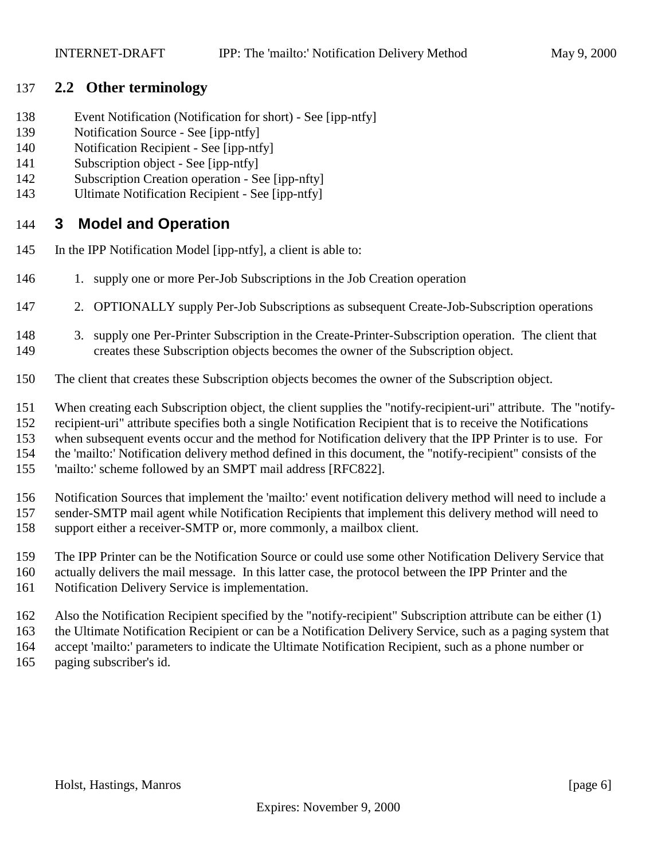#### <span id="page-5-0"></span>**2.2 Other terminology**

- Event Notification (Notification for short) See [ipp-ntfy]
- Notification Source See [ipp-ntfy]
- Notification Recipient See [ipp-ntfy]
- Subscription object See [ipp-ntfy]
- Subscription Creation operation See [ipp-nfty]
- Ultimate Notification Recipient See [ipp-ntfy]

### **3 Model and Operation**

- In the IPP Notification Model [ipp-ntfy], a client is able to:
- 1. supply one or more Per-Job Subscriptions in the Job Creation operation
- 2. OPTIONALLY supply Per-Job Subscriptions as subsequent Create-Job-Subscription operations
- 3. supply one Per-Printer Subscription in the Create-Printer-Subscription operation. The client that creates these Subscription objects becomes the owner of the Subscription object.
- The client that creates these Subscription objects becomes the owner of the Subscription object.
- When creating each Subscription object, the client supplies the "notify-recipient-uri" attribute. The "notify-
- recipient-uri" attribute specifies both a single Notification Recipient that is to receive the Notifications
- when subsequent events occur and the method for Notification delivery that the IPP Printer is to use. For
- the 'mailto:' Notification delivery method defined in this document, the "notify-recipient" consists of the
- 'mailto:' scheme followed by an SMPT mail address [RFC822].
- Notification Sources that implement the 'mailto:' event notification delivery method will need to include a sender-SMTP mail agent while Notification Recipients that implement this delivery method will need to support either a receiver-SMTP or, more commonly, a mailbox client.
- The IPP Printer can be the Notification Source or could use some other Notification Delivery Service that
- actually delivers the mail message. In this latter case, the protocol between the IPP Printer and the
- Notification Delivery Service is implementation.
- Also the Notification Recipient specified by the "notify-recipient" Subscription attribute can be either (1)
- the Ultimate Notification Recipient or can be a Notification Delivery Service, such as a paging system that accept 'mailto:' parameters to indicate the Ultimate Notification Recipient, such as a phone number or paging subscriber's id.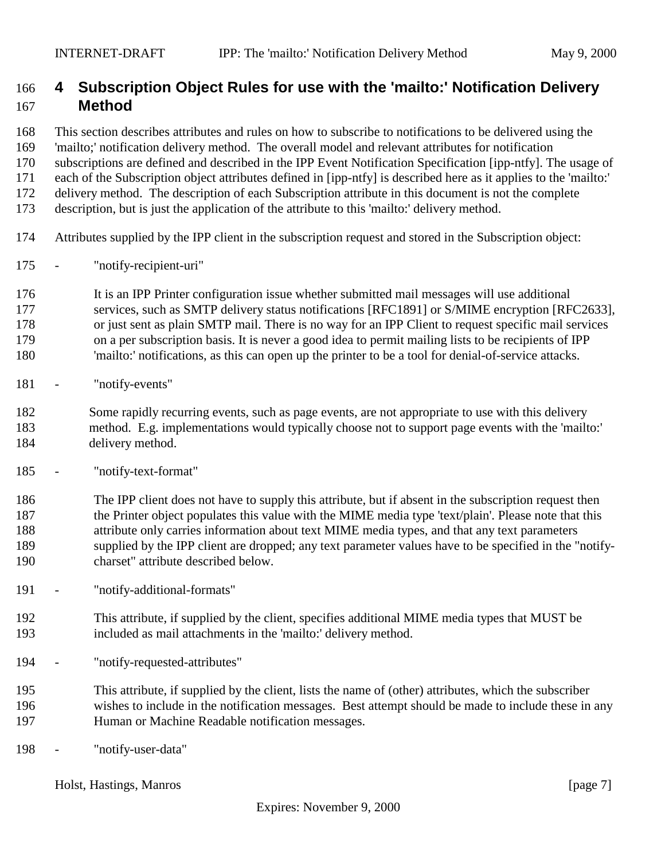### <span id="page-6-0"></span> **4 Subscription Object Rules for use with the 'mailto:' Notification Delivery Method**

This section describes attributes and rules on how to subscribe to notifications to be delivered using the

'mailto;' notification delivery method. The overall model and relevant attributes for notification

subscriptions are defined and described in the IPP Event Notification Specification [ipp-ntfy]. The usage of

 each of the Subscription object attributes defined in [ipp-ntfy] is described here as it applies to the 'mailto:' delivery method. The description of each Subscription attribute in this document is not the complete

description, but is just the application of the attribute to this 'mailto:' delivery method.

- Attributes supplied by the IPP client in the subscription request and stored in the Subscription object:
- "notify-recipient-uri"

 It is an IPP Printer configuration issue whether submitted mail messages will use additional 177 services, such as SMTP delivery status notifications [RFC1891] or S/MIME encryption [RFC2633], or just sent as plain SMTP mail. There is no way for an IPP Client to request specific mail services on a per subscription basis. It is never a good idea to permit mailing lists to be recipients of IPP 'mailto:' notifications, as this can open up the printer to be a tool for denial-of-service attacks.

- "notify-events"

 Some rapidly recurring events, such as page events, are not appropriate to use with this delivery method. E.g. implementations would typically choose not to support page events with the 'mailto:' delivery method.

- "notify-text-format"

 The IPP client does not have to supply this attribute, but if absent in the subscription request then the Printer object populates this value with the MIME media type 'text/plain'. Please note that this attribute only carries information about text MIME media types, and that any text parameters supplied by the IPP client are dropped; any text parameter values have to be specified in the "notify-charset" attribute described below.

- "notify-additional-formats"
- This attribute, if supplied by the client, specifies additional MIME media types that MUST be included as mail attachments in the 'mailto:' delivery method.
- "notify-requested-attributes"
- This attribute, if supplied by the client, lists the name of (other) attributes, which the subscriber wishes to include in the notification messages. Best attempt should be made to include these in any Human or Machine Readable notification messages.
- "notify-user-data"

Holst, Hastings, Manros [page 7]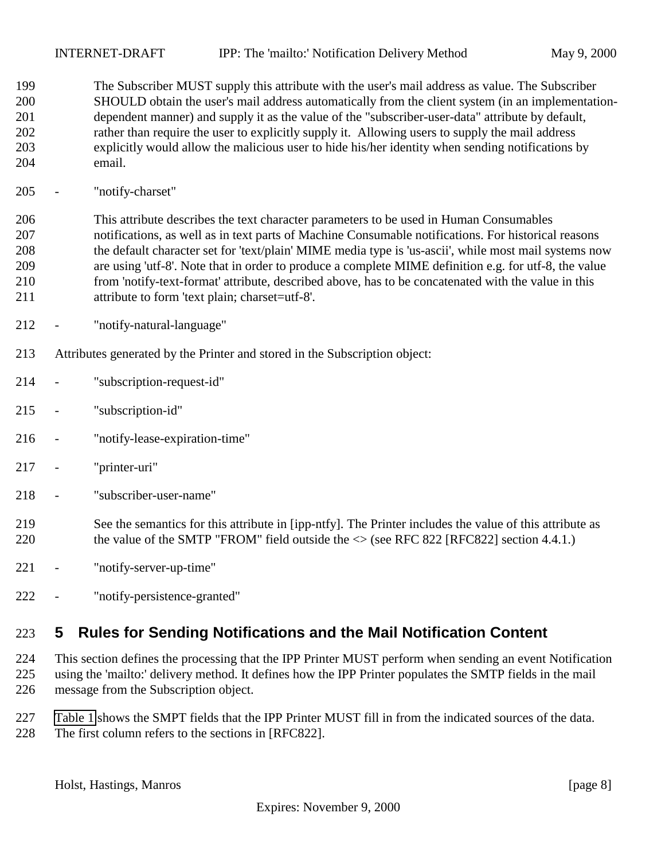<span id="page-7-0"></span> The Subscriber MUST supply this attribute with the user's mail address as value. The Subscriber SHOULD obtain the user's mail address automatically from the client system (in an implementation- dependent manner) and supply it as the value of the "subscriber-user-data" attribute by default, rather than require the user to explicitly supply it. Allowing users to supply the mail address explicitly would allow the malicious user to hide his/her identity when sending notifications by email.

- "notify-charset"

 This attribute describes the text character parameters to be used in Human Consumables notifications, as well as in text parts of Machine Consumable notifications. For historical reasons the default character set for 'text/plain' MIME media type is 'us-ascii', while most mail systems now are using 'utf-8'. Note that in order to produce a complete MIME definition e.g. for utf-8, the value from 'notify-text-format' attribute, described above, has to be concatenated with the value in this attribute to form 'text plain; charset=utf-8'.

- "notify-natural-language"
- Attributes generated by the Printer and stored in the Subscription object:
- "subscription-request-id"
- "subscription-id"
- "notify-lease-expiration-time"
- "printer-uri"
- "subscriber-user-name"
- See the semantics for this attribute in [ipp-ntfy]. The Printer includes the value of this attribute as 220 the value of the SMTP "FROM" field outside the  $\le$  (see RFC 822 [RFC822] section 4.4.1.)
- "notify-server-up-time"
- "notify-persistence-granted"

# **5 Rules for Sending Notifications and the Mail Notification Content**

 This section defines the processing that the IPP Printer MUST perform when sending an event Notification using the 'mailto:' delivery method. It defines how the IPP Printer populates the SMTP fields in the mail message from the Subscription object.

 [Table 1](#page-8-0) shows the SMPT fields that the IPP Printer MUST fill in from the indicated sources of the data. The first column refers to the sections in [RFC822].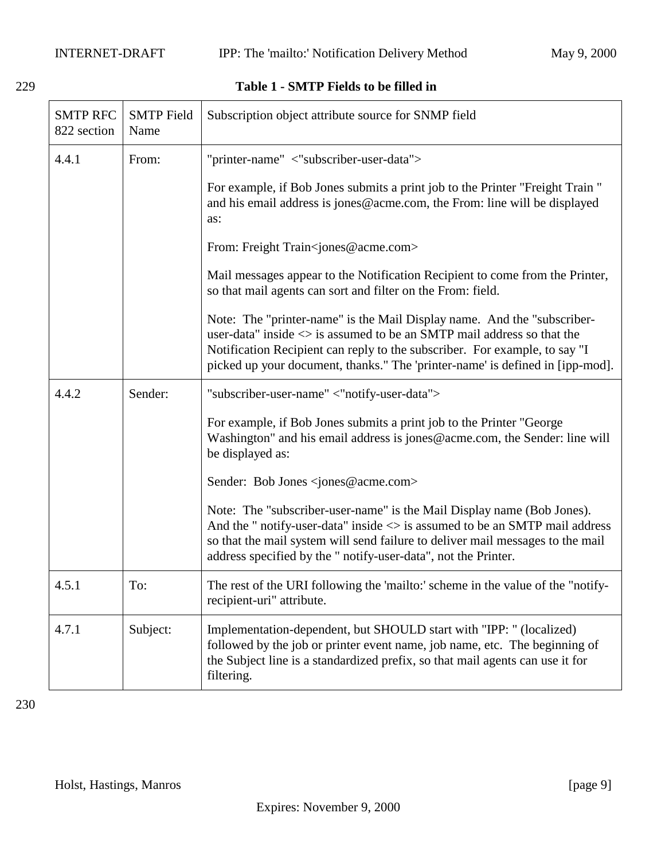#### <span id="page-8-0"></span>229 **Table 1 - SMTP Fields to be filled in**

| <b>SMTP RFC</b><br>822 section | <b>SMTP</b> Field<br>Name | Subscription object attribute source for SNMP field                                                                                                                                                                                                                                                                             |
|--------------------------------|---------------------------|---------------------------------------------------------------------------------------------------------------------------------------------------------------------------------------------------------------------------------------------------------------------------------------------------------------------------------|
| 4.4.1                          | From:                     | "printer-name" <"subscriber-user-data">                                                                                                                                                                                                                                                                                         |
|                                |                           | For example, if Bob Jones submits a print job to the Printer "Freight Train"<br>and his email address is jones@acme.com, the From: line will be displayed<br>as:                                                                                                                                                                |
|                                |                           | From: Freight Train <jones@acme.com></jones@acme.com>                                                                                                                                                                                                                                                                           |
|                                |                           | Mail messages appear to the Notification Recipient to come from the Printer,<br>so that mail agents can sort and filter on the From: field.                                                                                                                                                                                     |
|                                |                           | Note: The "printer-name" is the Mail Display name. And the "subscriber-<br>user-data" inside $\langle \rangle$ is assumed to be an SMTP mail address so that the<br>Notification Recipient can reply to the subscriber. For example, to say "I<br>picked up your document, thanks." The 'printer-name' is defined in [ipp-mod]. |
| 4.4.2                          | Sender:                   | "subscriber-user-name" <"notify-user-data">                                                                                                                                                                                                                                                                                     |
|                                |                           | For example, if Bob Jones submits a print job to the Printer "George<br>Washington" and his email address is jones@acme.com, the Sender: line will<br>be displayed as:                                                                                                                                                          |
|                                |                           | Sender: Bob Jones <jones@acme.com></jones@acme.com>                                                                                                                                                                                                                                                                             |
|                                |                           | Note: The "subscriber-user-name" is the Mail Display name (Bob Jones).<br>And the " notify-user-data" inside $\langle \rangle$ is assumed to be an SMTP mail address<br>so that the mail system will send failure to deliver mail messages to the mail<br>address specified by the " notify-user-data", not the Printer.        |
| 4.5.1                          | To:                       | The rest of the URI following the 'mailto:' scheme in the value of the "notify-<br>recipient-uri" attribute.                                                                                                                                                                                                                    |
| 4.7.1                          | Subject:                  | Implementation-dependent, but SHOULD start with "IPP: " (localized)<br>followed by the job or printer event name, job name, etc. The beginning of<br>the Subject line is a standardized prefix, so that mail agents can use it for<br>filtering.                                                                                |

230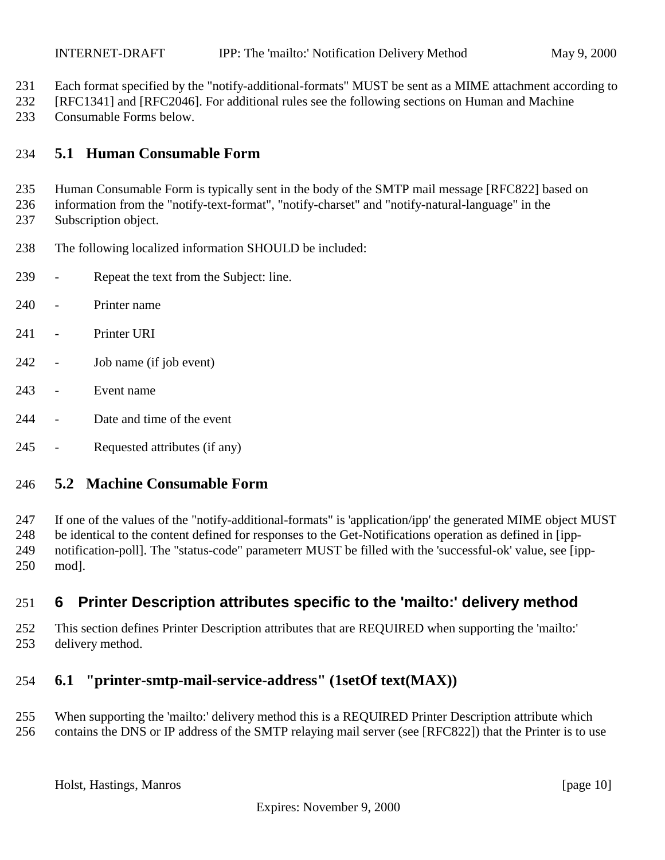- <span id="page-9-0"></span>Each format specified by the "notify-additional-formats" MUST be sent as a MIME attachment according to
- [RFC1341] and [RFC2046]. For additional rules see the following sections on Human and Machine
- Consumable Forms below.

### **5.1 Human Consumable Form**

Human Consumable Form is typically sent in the body of the SMTP mail message [RFC822] based on

- information from the "notify-text-format", "notify-charset" and "notify-natural-language" in the Subscription object.
- The following localized information SHOULD be included:
- Repeat the text from the Subject: line.
- Printer name
- 241 Printer URI
- Job name (if job event)
- Event name
- Date and time of the event
- Requested attributes (if any)

### **5.2 Machine Consumable Form**

 If one of the values of the "notify-additional-formats" is 'application/ipp' the generated MIME object MUST be identical to the content defined for responses to the Get-Notifications operation as defined in [ipp- notification-poll]. The "status-code" parameterr MUST be filled with the 'successful-ok' value, see [ipp-mod].

### **6 Printer Description attributes specific to the 'mailto:' delivery method**

 This section defines Printer Description attributes that are REQUIRED when supporting the 'mailto:' delivery method.

### **6.1 "printer-smtp-mail-service-address" (1setOf text(MAX))**

- When supporting the 'mailto:' delivery method this is a REQUIRED Printer Description attribute which
- contains the DNS or IP address of the SMTP relaying mail server (see [RFC822]) that the Printer is to use

Holst, Hastings, Manros [page 10]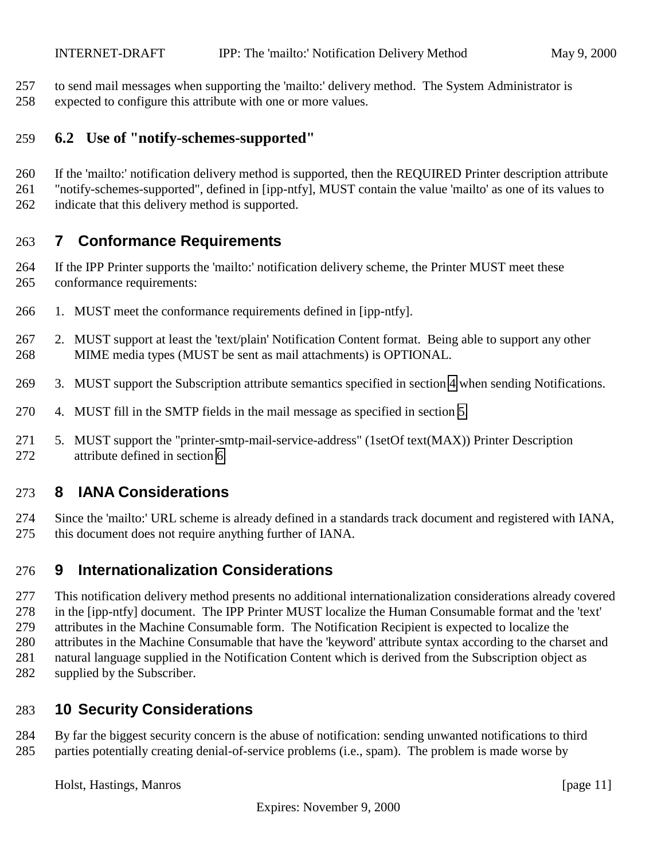<span id="page-10-0"></span>to send mail messages when supporting the 'mailto:' delivery method. The System Administrator is

expected to configure this attribute with one or more values.

#### **6.2 Use of "notify-schemes-supported"**

If the 'mailto:' notification delivery method is supported, then the REQUIRED Printer description attribute

"notify-schemes-supported", defined in [ipp-ntfy], MUST contain the value 'mailto' as one of its values to

indicate that this delivery method is supported.

# **7 Conformance Requirements**

 If the IPP Printer supports the 'mailto:' notification delivery scheme, the Printer MUST meet these conformance requirements:

- 1. MUST meet the conformance requirements defined in [ipp-ntfy].
- 2. MUST support at least the 'text/plain' Notification Content format. Being able to support any other MIME media types (MUST be sent as mail attachments) is OPTIONAL.
- 3. MUST support the Subscription attribute semantics specified in section [4](#page-6-0) when sending Notifications.
- 4. MUST fill in the SMTP fields in the mail message as specified in section [5.](#page-7-0)
- 5. MUST support the "printer-smtp-mail-service-address" (1setOf text(MAX)) Printer Description attribute defined in section [6.](#page-9-0)

# **8 IANA Considerations**

 Since the 'mailto:' URL scheme is already defined in a standards track document and registered with IANA, this document does not require anything further of IANA.

# **9 Internationalization Considerations**

 This notification delivery method presents no additional internationalization considerations already covered in the [ipp-ntfy] document. The IPP Printer MUST localize the Human Consumable format and the 'text' attributes in the Machine Consumable form. The Notification Recipient is expected to localize the attributes in the Machine Consumable that have the 'keyword' attribute syntax according to the charset and natural language supplied in the Notification Content which is derived from the Subscription object as supplied by the Subscriber.

# **10 Security Considerations**

 By far the biggest security concern is the abuse of notification: sending unwanted notifications to third parties potentially creating denial-of-service problems (i.e., spam). The problem is made worse by

Holst, Hastings, Manros [page 11]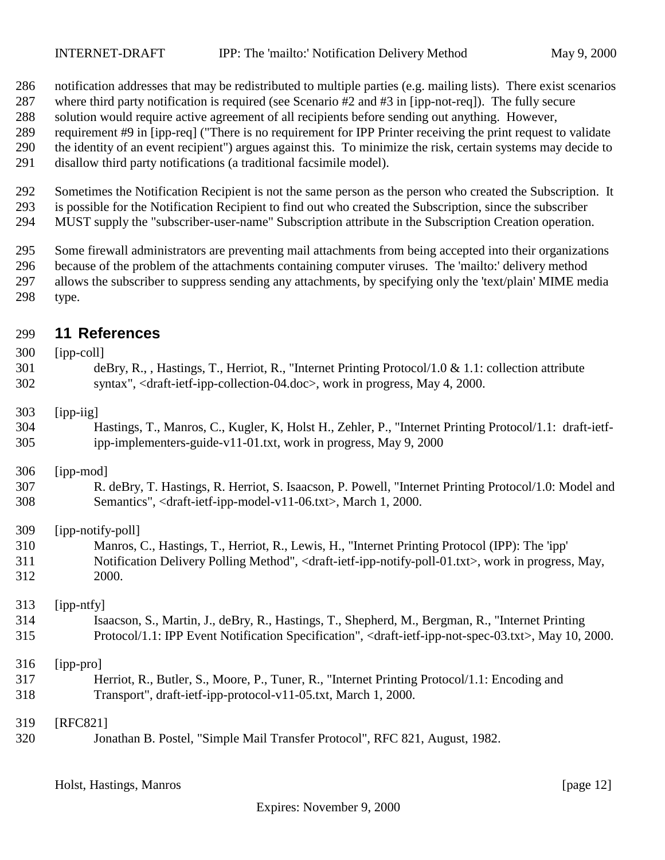- <span id="page-11-0"></span>notification addresses that may be redistributed to multiple parties (e.g. mailing lists). There exist scenarios
- where third party notification is required (see Scenario #2 and #3 in [ipp-not-req]). The fully secure
- solution would require active agreement of all recipients before sending out anything. However,
- requirement #9 in [ipp-req] ("There is no requirement for IPP Printer receiving the print request to validate
- the identity of an event recipient") argues against this. To minimize the risk, certain systems may decide to
- disallow third party notifications (a traditional facsimile model).
- Sometimes the Notification Recipient is not the same person as the person who created the Subscription. It is possible for the Notification Recipient to find out who created the Subscription, since the subscriber
- MUST supply the "subscriber-user-name" Subscription attribute in the Subscription Creation operation.
- Some firewall administrators are preventing mail attachments from being accepted into their organizations
- because of the problem of the attachments containing computer viruses. The 'mailto:' delivery method
- allows the subscriber to suppress sending any attachments, by specifying only the 'text/plain' MIME media type.

### **11 References**

| 300 | $[ipp-coll]$                                                                                                                           |
|-----|----------------------------------------------------------------------------------------------------------------------------------------|
| 301 | deBry, R., , Hastings, T., Herriot, R., "Internet Printing Protocol/1.0 & 1.1: collection attribute                                    |
| 302 | syntax", <draft-ietf-ipp-collection-04.doc>, work in progress, May 4, 2000.</draft-ietf-ipp-collection-04.doc>                         |
| 303 | [ipp-iig]                                                                                                                              |
| 304 | Hastings, T., Manros, C., Kugler, K. Holst H., Zehler, P., "Internet Printing Protocol/1.1: draft-ietf-                                |
| 305 | ipp-implementers-guide-v11-01.txt, work in progress, May 9, 2000                                                                       |
| 306 | [ipp-mod]                                                                                                                              |
| 307 | R. deBry, T. Hastings, R. Herriot, S. Isaacson, P. Powell, "Internet Printing Protocol/1.0: Model and                                  |
| 308 | Semantics", <draft-ietf-ipp-model-v11-06.txt>, March 1, 2000.</draft-ietf-ipp-model-v11-06.txt>                                        |
| 309 | [ipp-notify-poll]                                                                                                                      |
| 310 | Manros, C., Hastings, T., Herriot, R., Lewis, H., "Internet Printing Protocol (IPP): The 'ipp'                                         |
| 311 | Notification Delivery Polling Method", <draft-ietf-ipp-notify-poll-01.txt>, work in progress, May,</draft-ietf-ipp-notify-poll-01.txt> |
| 312 | 2000.                                                                                                                                  |
| 313 | [ipp-ntfy]                                                                                                                             |
| 314 | Isaacson, S., Martin, J., deBry, R., Hastings, T., Shepherd, M., Bergman, R., "Internet Printing                                       |
| 315 | Protocol/1.1: IPP Event Notification Specification", <draft-ietf-ipp-not-spec-03.txt>, May 10, 2000.</draft-ietf-ipp-not-spec-03.txt>  |
| 316 | [ipp-pro]                                                                                                                              |
| 317 | Herriot, R., Butler, S., Moore, P., Tuner, R., "Internet Printing Protocol/1.1: Encoding and                                           |
| 318 | Transport", draft-ietf-ipp-protocol-v11-05.txt, March 1, 2000.                                                                         |
| 319 | [RFC821]                                                                                                                               |
| 320 | Jonathan B. Postel, "Simple Mail Transfer Protocol", RFC 821, August, 1982.                                                            |

Holst, Hastings, Manros [page 12]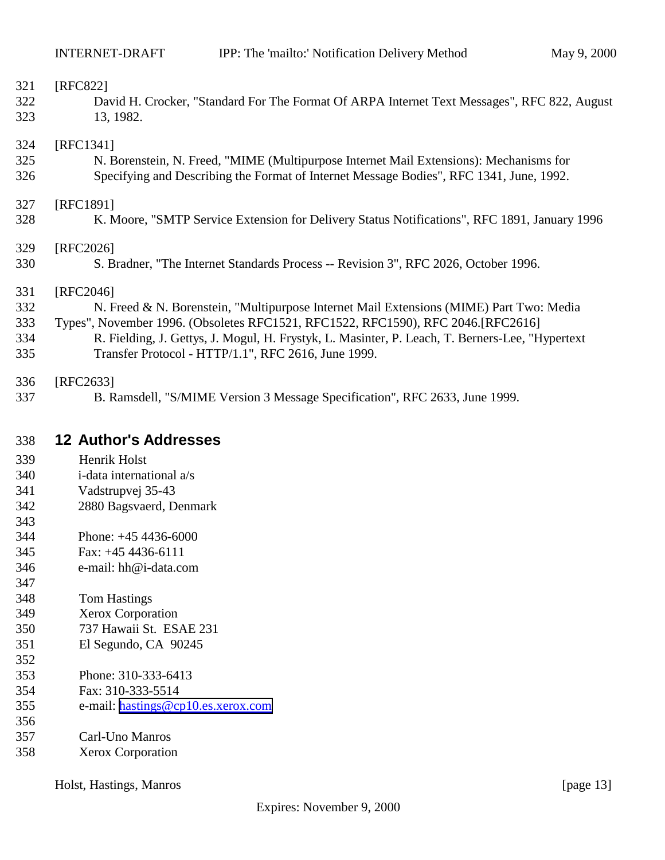<span id="page-12-0"></span>

| 321 | [RFC822]                                                                                        |
|-----|-------------------------------------------------------------------------------------------------|
| 322 | David H. Crocker, "Standard For The Format Of ARPA Internet Text Messages", RFC 822, August     |
| 323 | 13, 1982.                                                                                       |
| 324 | [RFC1341]                                                                                       |
| 325 | N. Borenstein, N. Freed, "MIME (Multipurpose Internet Mail Extensions): Mechanisms for          |
| 326 | Specifying and Describing the Format of Internet Message Bodies", RFC 1341, June, 1992.         |
| 327 | [RFC1891]                                                                                       |
| 328 | K. Moore, "SMTP Service Extension for Delivery Status Notifications", RFC 1891, January 1996    |
| 329 | [RFC2026]                                                                                       |
| 330 | S. Bradner, "The Internet Standards Process -- Revision 3", RFC 2026, October 1996.             |
| 331 | [RFC2046]                                                                                       |
| 332 | N. Freed & N. Borenstein, "Multipurpose Internet Mail Extensions (MIME) Part Two: Media         |
| 333 | Types", November 1996. (Obsoletes RFC1521, RFC1522, RFC1590), RFC 2046. [RFC2616]               |
| 334 | R. Fielding, J. Gettys, J. Mogul, H. Frystyk, L. Masinter, P. Leach, T. Berners-Lee, "Hypertext |
| 335 | Transfer Protocol - HTTP/1.1", RFC 2616, June 1999.                                             |
| 336 | [RFC2633]                                                                                       |
| 337 | B. Ramsdell, "S/MIME Version 3 Message Specification", RFC 2633, June 1999.                     |

### **12 Author's Addresses**

- Henrik Holst
- i-data international a/s
- Vadstrupvej 35-43
- 2880 Bagsvaerd, Denmark
- 
- Phone: +45 4436-6000
- Fax: +45 4436-6111
- e-mail: hh@i-data.com
- Tom Hastings
- Xerox Corporation
- 737 Hawaii St. ESAE 231
- El Segundo, CA 90245
- Phone: 310-333-6413
- Fax: 310-333-5514
- e-mail: [hastings@cp10.es.xerox.com](mailto:hastings@cp10.es.xerox.com)
- 
- Carl-Uno Manros
- Xerox Corporation

Holst, Hastings, Manros [page 13]